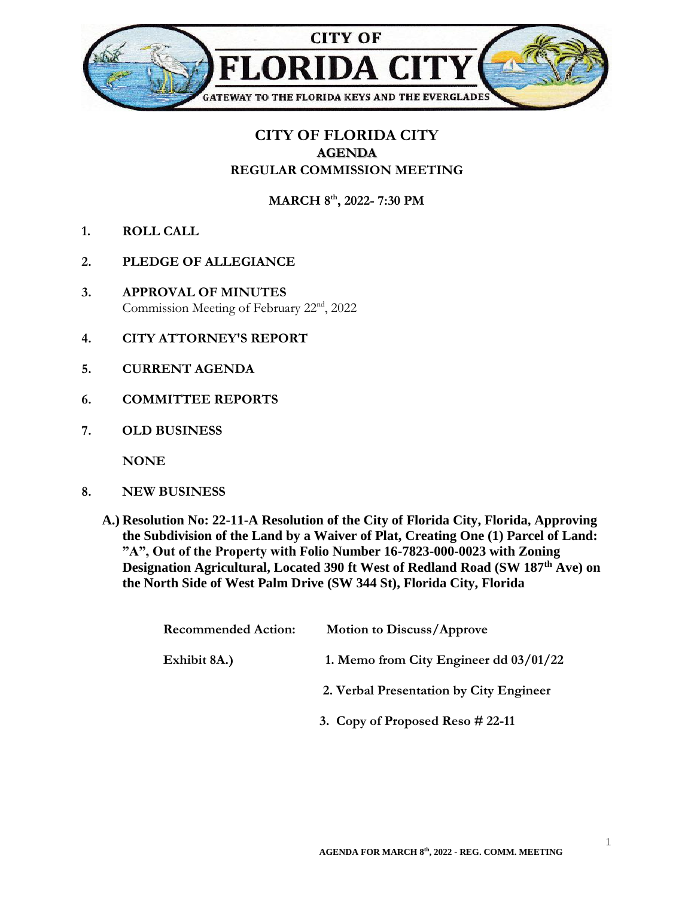

## **CITY OF FLORIDA CITY AGENDA REGULAR COMMISSION MEETING**

**MARCH 8th , 2022- 7:30 PM**

- **1. ROLL CALL**
- **2. PLEDGE OF ALLEGIANCE**
- **3. APPROVAL OF MINUTES** Commission Meeting of February 22nd, 2022
- **4. CITY ATTORNEY'S REPORT**
- **5. CURRENT AGENDA**
- **6. COMMITTEE REPORTS**
- **7. OLD BUSINESS**

**NONE**

- **8. NEW BUSINESS**
	- **A.) Resolution No: 22-11-A Resolution of the City of Florida City, Florida, Approving the Subdivision of the Land by a Waiver of Plat, Creating One (1) Parcel of Land: "A", Out of the Property with Folio Number 16-7823-000-0023 with Zoning Designation Agricultural, Located 390 ft West of Redland Road (SW 187th Ave) on the North Side of West Palm Drive (SW 344 St), Florida City, Florida**

| <b>Recommended Action:</b> | <b>Motion to Discuss/Approve</b>         |
|----------------------------|------------------------------------------|
| Exhibit 8A.)               | 1. Memo from City Engineer dd $03/01/22$ |
|                            | 2. Verbal Presentation by City Engineer  |
|                            | 3. Copy of Proposed Reso $\#$ 22-11      |